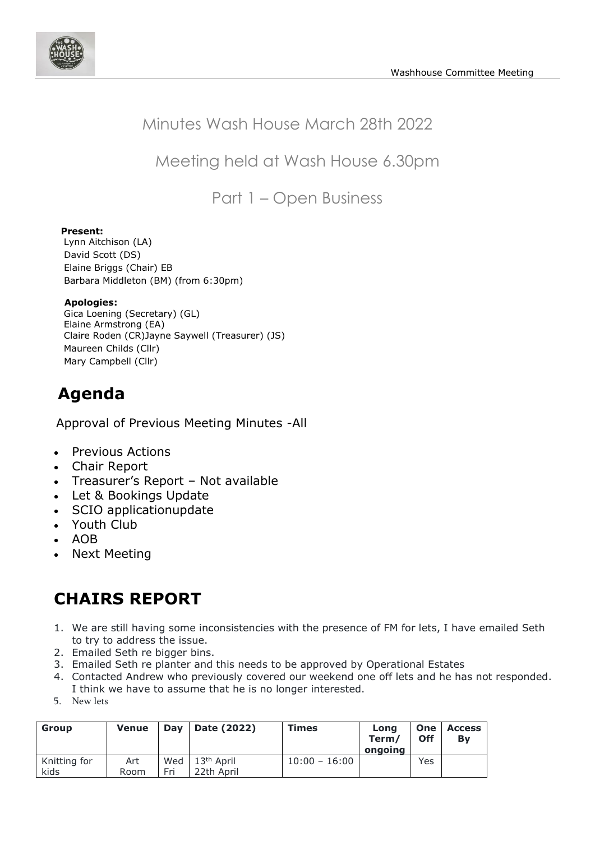

## Minutes Wash House March 28th 2022

Meeting held at Wash House 6.30pm

Part 1 – Open Business

### **Present:**

Lynn Aitchison (LA) David Scott (DS) Elaine Briggs (Chair) EB Barbara Middleton (BM) (from 6:30pm)

#### **Apologies:**

Gica Loening (Secretary) (GL) Elaine Armstrong (EA) Claire Roden (CR)Jayne Saywell (Treasurer) (JS) Maureen Childs (Cllr) Mary Campbell (Cllr)

# **Agenda**

Approval of Previous Meeting Minutes -All

- Previous Actions
- Chair Report
- Treasurer's Report Not available
- Let & Bookings Update
- SCIO applicationupdate
- Youth Club
- AOB
- Next Meeting

## **CHAIRS REPORT**

- 1. We are still having some inconsistencies with the presence of FM for lets, I have emailed Seth to try to address the issue.
- 2. Emailed Seth re bigger bins.
- 3. Emailed Seth re planter and this needs to be approved by Operational Estates
- 4. Contacted Andrew who previously covered our weekend one off lets and he has not responded. I think we have to assume that he is no longer interested.
- 5. New lets

| <b>Group</b> | <b>Venue</b> | Dav | Date (2022)            | <b>Times</b>    | Long<br>Term/<br>ongoing | One<br><b>Off</b> | <b>Access</b><br>By |
|--------------|--------------|-----|------------------------|-----------------|--------------------------|-------------------|---------------------|
| Knitting for | Art          | Wed | 13 <sup>th</sup> April | $10:00 - 16:00$ |                          | Yes               |                     |
| kids         | Room         | Fri | 22th April             |                 |                          |                   |                     |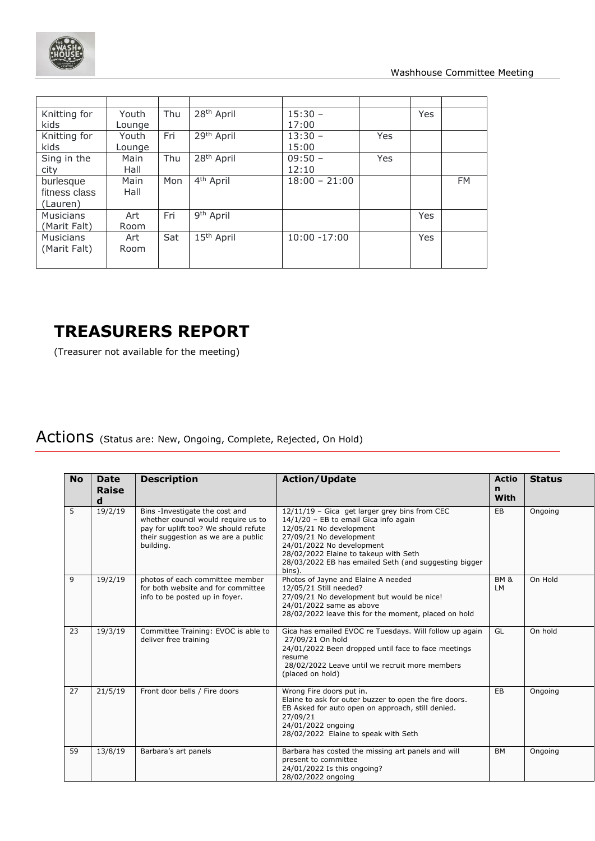

| Knitting for<br>kids                   | Youth<br>Lounge | Thu | 28 <sup>th</sup> April | $15:30 -$<br>17:00 |            | Yes |           |
|----------------------------------------|-----------------|-----|------------------------|--------------------|------------|-----|-----------|
| Knitting for<br>kids                   | Youth<br>Lounge | Fri | 29 <sup>th</sup> April | $13:30 -$<br>15:00 | Yes        |     |           |
| Sing in the<br>city                    | Main<br>Hall    | Thu | 28 <sup>th</sup> April | $09:50 -$<br>12:10 | <b>Yes</b> |     |           |
| burlesque<br>fitness class<br>(Lauren) | Main<br>Hall    | Mon | 4 <sup>th</sup> April  | $18:00 - 21:00$    |            |     | <b>FM</b> |
| <b>Musicians</b><br>(Marit Falt)       | Art<br>Room     | Fri | 9 <sup>th</sup> April  |                    |            | Yes |           |
| <b>Musicians</b><br>(Marit Falt)       | Art<br>Room     | Sat | 15 <sup>th</sup> April | $10:00 - 17:00$    |            | Yes |           |

# **TREASURERS REPORT**

(Treasurer not available for the meeting)

# Actions (Status are: New, Ongoing, Complete, Rejected, On Hold)

| <b>No</b> | <b>Date</b><br>Raise<br>d | <b>Description</b>                                                                                                                                                | <b>Action/Update</b>                                                                                                                                                                                                                                                                  | <b>Actio</b><br>n<br><b>With</b> | <b>Status</b> |
|-----------|---------------------------|-------------------------------------------------------------------------------------------------------------------------------------------------------------------|---------------------------------------------------------------------------------------------------------------------------------------------------------------------------------------------------------------------------------------------------------------------------------------|----------------------------------|---------------|
| 5         | 19/2/19                   | Bins -Investigate the cost and<br>whether council would require us to<br>pay for uplift too? We should refute<br>their suggestion as we are a public<br>building. | 12/11/19 - Gica get larger grey bins from CEC<br>14/1/20 - EB to email Gica info again<br>12/05/21 No development<br>27/09/21 No development<br>24/01/2022 No development<br>28/02/2022 Elaine to takeup with Seth<br>28/03/2022 EB has emailed Seth (and suggesting bigger<br>bins). | EB                               | Ongoing       |
| 9         | 19/2/19                   | photos of each committee member<br>for both website and for committee<br>info to be posted up in foyer.                                                           | Photos of Jayne and Elaine A needed<br>12/05/21 Still needed?<br>27/09/21 No development but would be nice!<br>24/01/2022 same as above<br>28/02/2022 leave this for the moment, placed on hold                                                                                       | <b>BM &amp;</b><br>LM            | On Hold       |
| 23        | 19/3/19                   | Committee Training: EVOC is able to<br>deliver free training                                                                                                      | Gica has emailed EVOC re Tuesdays. Will follow up again<br>27/09/21 On hold<br>24/01/2022 Been dropped until face to face meetings<br>resume<br>28/02/2022 Leave until we recruit more members<br>(placed on hold)                                                                    | GL                               | On hold       |
| 27        | 21/5/19                   | Front door bells / Fire doors                                                                                                                                     | Wrong Fire doors put in.<br>Elaine to ask for outer buzzer to open the fire doors.<br>EB Asked for auto open on approach, still denied.<br>27/09/21<br>24/01/2022 ongoing<br>28/02/2022 Elaine to speak with Seth                                                                     | EB                               | Ongoing       |
| 59        | 13/8/19                   | Barbara's art panels                                                                                                                                              | Barbara has costed the missing art panels and will<br>present to committee<br>24/01/2022 Is this ongoing?<br>28/02/2022 ongoing                                                                                                                                                       | <b>BM</b>                        | Ongoing       |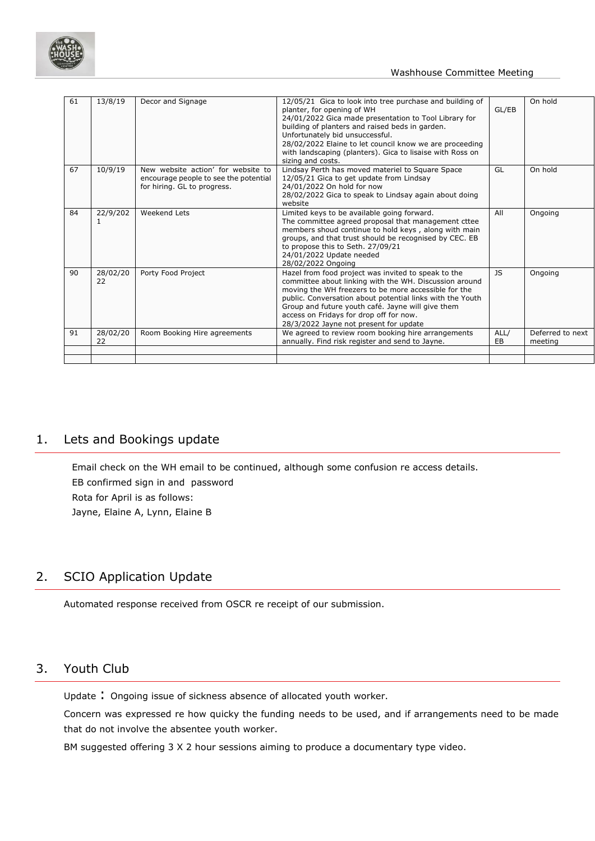

| 61 | 13/8/19        | Decor and Signage                                                                                          | 12/05/21 Gica to look into tree purchase and building of<br>planter, for opening of WH<br>24/01/2022 Gica made presentation to Tool Library for<br>building of planters and raised beds in garden.<br>Unfortunately bid unsuccessful.<br>28/02/2022 Elaine to let council know we are proceeding<br>with landscaping (planters). Gica to lisaise with Ross on<br>sizing and costs. | GL/EB      | On hold                     |
|----|----------------|------------------------------------------------------------------------------------------------------------|------------------------------------------------------------------------------------------------------------------------------------------------------------------------------------------------------------------------------------------------------------------------------------------------------------------------------------------------------------------------------------|------------|-----------------------------|
| 67 | 10/9/19        | New website action' for website to<br>encourage people to see the potential<br>for hiring. GL to progress. | Lindsay Perth has moved materiel to Square Space<br>12/05/21 Gica to get update from Lindsay<br>24/01/2022 On hold for now<br>28/02/2022 Gica to speak to Lindsay again about doing<br>website                                                                                                                                                                                     | GL         | On hold                     |
| 84 | 22/9/202<br>1  | Weekend Lets                                                                                               | Limited keys to be available going forward.<br>The committee agreed proposal that management cttee<br>members shoud continue to hold keys, along with main<br>groups, and that trust should be recognised by CEC. EB<br>to propose this to Seth. 27/09/21<br>24/01/2022 Update needed<br>28/02/2022 Ongoing                                                                        | All        | Ongoing                     |
| 90 | 28/02/20<br>22 | Porty Food Project                                                                                         | Hazel from food project was invited to speak to the<br>committee about linking with the WH. Discussion around<br>moving the WH freezers to be more accessible for the<br>public. Conversation about potential links with the Youth<br>Group and future youth café. Jayne will give them<br>access on Fridays for drop off for now.<br>28/3/2022 Jayne not present for update       | JS.        | Ongoing                     |
| 91 | 28/02/20<br>22 | Room Booking Hire agreements                                                                               | We agreed to review room booking hire arrangements<br>annually. Find risk register and send to Jayne.                                                                                                                                                                                                                                                                              | ALL/<br>EB | Deferred to next<br>meeting |
|    |                |                                                                                                            |                                                                                                                                                                                                                                                                                                                                                                                    |            |                             |
|    |                |                                                                                                            |                                                                                                                                                                                                                                                                                                                                                                                    |            |                             |

### 1. Lets and Bookings update

Email check on the WH email to be continued, although some confusion re access details. EB confirmed sign in and password Rota for April is as follows: Jayne, Elaine A, Lynn, Elaine B

## 2. SCIO Application Update

Automated response received from OSCR re receipt of our submission.

## 3. Youth Club

Update : Ongoing issue of sickness absence of allocated youth worker.

Concern was expressed re how quicky the funding needs to be used, and if arrangements need to be made that do not involve the absentee youth worker.

BM suggested offering 3 X 2 hour sessions aiming to produce a documentary type video.